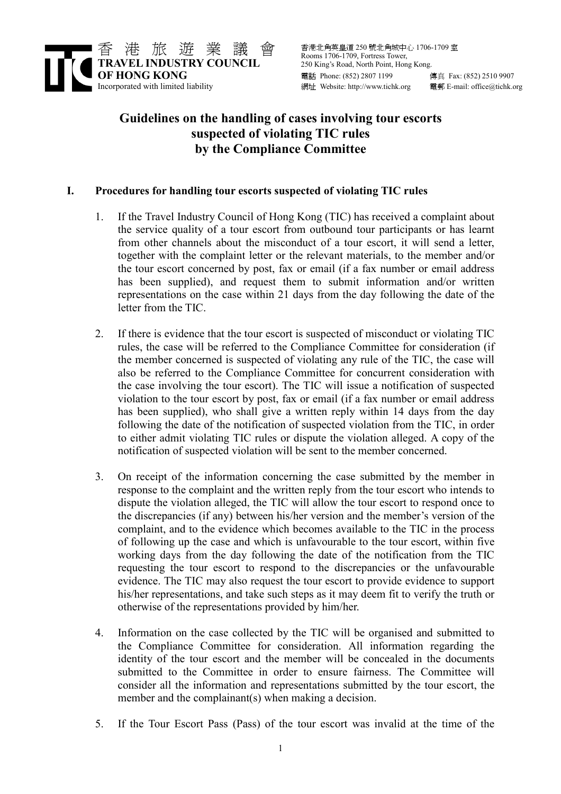

# Guidelines on the handling of cases involving tour escorts suspected of violating TIC rules by the Compliance Committee

## I. Procedures for handling tour escorts suspected of violating TIC rules

- 1. If the Travel Industry Council of Hong Kong (TIC) has received a complaint about the service quality of a tour escort from outbound tour participants or has learnt from other channels about the misconduct of a tour escort, it will send a letter, together with the complaint letter or the relevant materials, to the member and/or the tour escort concerned by post, fax or email (if a fax number or email address has been supplied), and request them to submit information and/or written representations on the case within 21 days from the day following the date of the letter from the TIC.
- 2. If there is evidence that the tour escort is suspected of misconduct or violating TIC rules, the case will be referred to the Compliance Committee for consideration (if the member concerned is suspected of violating any rule of the TIC, the case will also be referred to the Compliance Committee for concurrent consideration with the case involving the tour escort). The TIC will issue a notification of suspected violation to the tour escort by post, fax or email (if a fax number or email address has been supplied), who shall give a written reply within 14 days from the day following the date of the notification of suspected violation from the TIC, in order to either admit violating TIC rules or dispute the violation alleged. A copy of the notification of suspected violation will be sent to the member concerned.
- 3. On receipt of the information concerning the case submitted by the member in response to the complaint and the written reply from the tour escort who intends to dispute the violation alleged, the TIC will allow the tour escort to respond once to the discrepancies (if any) between his/her version and the member's version of the complaint, and to the evidence which becomes available to the TIC in the process of following up the case and which is unfavourable to the tour escort, within five working days from the day following the date of the notification from the TIC requesting the tour escort to respond to the discrepancies or the unfavourable evidence. The TIC may also request the tour escort to provide evidence to support his/her representations, and take such steps as it may deem fit to verify the truth or otherwise of the representations provided by him/her.
- 4. Information on the case collected by the TIC will be organised and submitted to the Compliance Committee for consideration. All information regarding the identity of the tour escort and the member will be concealed in the documents submitted to the Committee in order to ensure fairness. The Committee will consider all the information and representations submitted by the tour escort, the member and the complainant(s) when making a decision.
- 5. If the Tour Escort Pass (Pass) of the tour escort was invalid at the time of the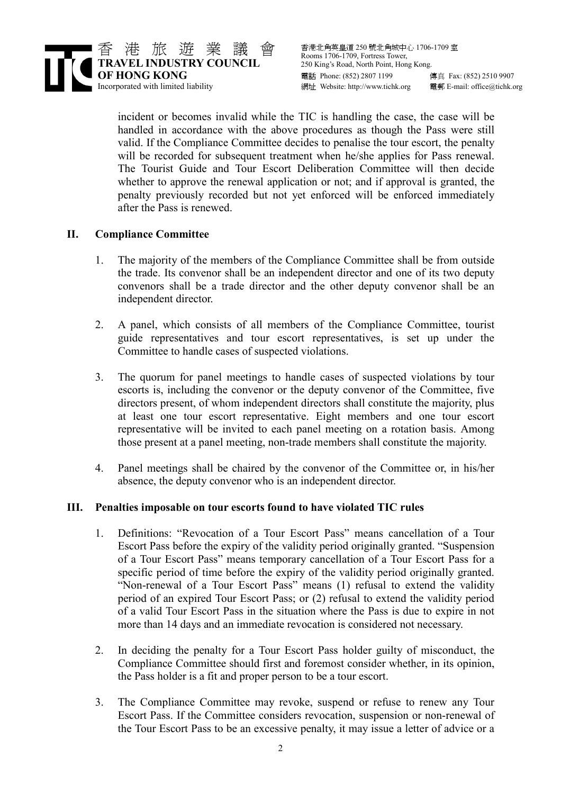

香港北角英皇道 250 號北角城中心 1706-1709 室 Rooms 1706-1709, Fortress Tower, 250 King's Road, North Point, Hong Kong. 電話 Phone: (852) 2807 1199 <br>傳真 Fax: (852) 2510 9907 網址 Website: http://www.tichk.org 電郵 E-mail: office@tichk.org

incident or becomes invalid while the TIC is handling the case, the case will be handled in accordance with the above procedures as though the Pass were still valid. If the Compliance Committee decides to penalise the tour escort, the penalty will be recorded for subsequent treatment when he/she applies for Pass renewal. The Tourist Guide and Tour Escort Deliberation Committee will then decide whether to approve the renewal application or not; and if approval is granted, the penalty previously recorded but not yet enforced will be enforced immediately after the Pass is renewed.

## II. Compliance Committee

- 1. The majority of the members of the Compliance Committee shall be from outside the trade. Its convenor shall be an independent director and one of its two deputy convenors shall be a trade director and the other deputy convenor shall be an independent director.
- 2. A panel, which consists of all members of the Compliance Committee, tourist guide representatives and tour escort representatives, is set up under the Committee to handle cases of suspected violations.
- 3. The quorum for panel meetings to handle cases of suspected violations by tour escorts is, including the convenor or the deputy convenor of the Committee, five directors present, of whom independent directors shall constitute the majority, plus at least one tour escort representative. Eight members and one tour escort representative will be invited to each panel meeting on a rotation basis. Among those present at a panel meeting, non-trade members shall constitute the majority.
- 4. Panel meetings shall be chaired by the convenor of the Committee or, in his/her absence, the deputy convenor who is an independent director.

#### III. Penalties imposable on tour escorts found to have violated TIC rules

- 1. Definitions: "Revocation of a Tour Escort Pass" means cancellation of a Tour Escort Pass before the expiry of the validity period originally granted. "Suspension of a Tour Escort Pass" means temporary cancellation of a Tour Escort Pass for a specific period of time before the expiry of the validity period originally granted. "Non-renewal of a Tour Escort Pass" means (1) refusal to extend the validity period of an expired Tour Escort Pass; or (2) refusal to extend the validity period of a valid Tour Escort Pass in the situation where the Pass is due to expire in not more than 14 days and an immediate revocation is considered not necessary.
- 2. In deciding the penalty for a Tour Escort Pass holder guilty of misconduct, the Compliance Committee should first and foremost consider whether, in its opinion, the Pass holder is a fit and proper person to be a tour escort.
- 3. The Compliance Committee may revoke, suspend or refuse to renew any Tour Escort Pass. If the Committee considers revocation, suspension or non-renewal of the Tour Escort Pass to be an excessive penalty, it may issue a letter of advice or a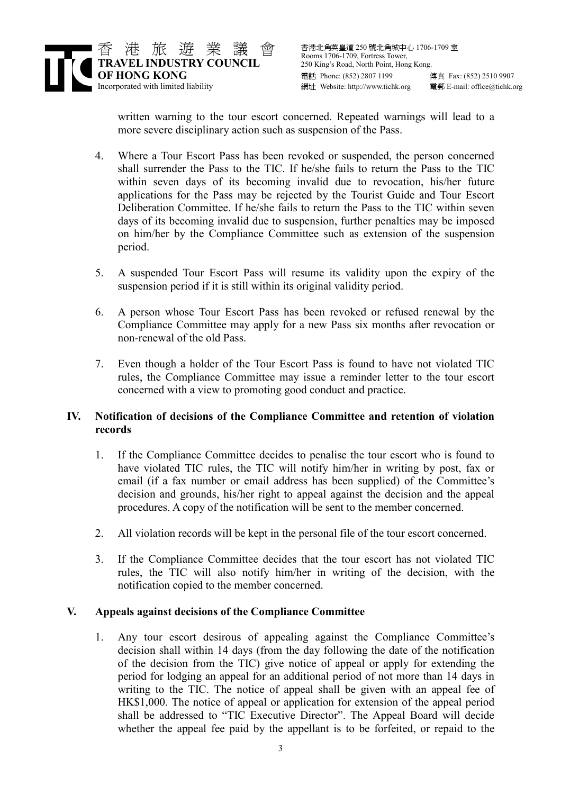written warning to the tour escort concerned. Repeated warnings will lead to a more severe disciplinary action such as suspension of the Pass.

- 4. Where a Tour Escort Pass has been revoked or suspended, the person concerned shall surrender the Pass to the TIC. If he/she fails to return the Pass to the TIC within seven days of its becoming invalid due to revocation, his/her future applications for the Pass may be rejected by the Tourist Guide and Tour Escort Deliberation Committee. If he/she fails to return the Pass to the TIC within seven days of its becoming invalid due to suspension, further penalties may be imposed on him/her by the Compliance Committee such as extension of the suspension period.
- 5. A suspended Tour Escort Pass will resume its validity upon the expiry of the suspension period if it is still within its original validity period.
- 6. A person whose Tour Escort Pass has been revoked or refused renewal by the Compliance Committee may apply for a new Pass six months after revocation or non-renewal of the old Pass.
- 7. Even though a holder of the Tour Escort Pass is found to have not violated TIC rules, the Compliance Committee may issue a reminder letter to the tour escort concerned with a view to promoting good conduct and practice.

# IV. Notification of decisions of the Compliance Committee and retention of violation records

- 1. If the Compliance Committee decides to penalise the tour escort who is found to have violated TIC rules, the TIC will notify him/her in writing by post, fax or email (if a fax number or email address has been supplied) of the Committee's decision and grounds, his/her right to appeal against the decision and the appeal procedures. A copy of the notification will be sent to the member concerned.
- 2. All violation records will be kept in the personal file of the tour escort concerned.
- 3. If the Compliance Committee decides that the tour escort has not violated TIC rules, the TIC will also notify him/her in writing of the decision, with the notification copied to the member concerned.

# V. Appeals against decisions of the Compliance Committee

1. Any tour escort desirous of appealing against the Compliance Committee's decision shall within 14 days (from the day following the date of the notification of the decision from the TIC) give notice of appeal or apply for extending the period for lodging an appeal for an additional period of not more than 14 days in writing to the TIC. The notice of appeal shall be given with an appeal fee of HK\$1,000. The notice of appeal or application for extension of the appeal period shall be addressed to "TIC Executive Director". The Appeal Board will decide whether the appeal fee paid by the appellant is to be forfeited, or repaid to the